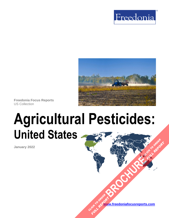



**Freedonia Focus Reports** US Collection

# **Agricultural Pesticides: United States [BROCHURE](https://www.freedoniafocusreports.com/Agricultural-Pesticides-United-States-FF35080/?progid=89541) CLICK TO ORDER**

**January 2022**

**[www.freedoniafocusreports.com](https://www.freedoniafocusreports.com/redirect.asp?progid=89534&url=/)** CLICK TO ORDER **FULL REPORT** 

**FULL REPORT**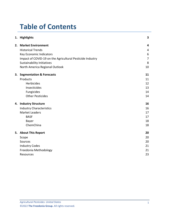# **Table of Contents**

|  | 1. Highlights                                             | 3              |
|--|-----------------------------------------------------------|----------------|
|  | 2. Market Environment                                     | 4              |
|  | <b>Historical Trends</b>                                  | 4              |
|  | Key Economic Indicators                                   | 6              |
|  | Impact of COVID-19 on the Agricultural Pesticide Industry | $\overline{7}$ |
|  | <b>Sustainability Initiatives</b>                         | 8              |
|  | North America Regional Outlook                            | 10             |
|  | 3. Segmentation & Forecasts                               | 11             |
|  | Products                                                  | 11             |
|  | Herbicides                                                | 12             |
|  | Insecticides                                              | 13             |
|  | Fungicides                                                | 14             |
|  | <b>Other Pesticides</b>                                   | 14             |
|  | 4. Industry Structure                                     | 16             |
|  | <b>Industry Characteristics</b>                           | 16             |
|  | <b>Market Leaders</b>                                     | 17             |
|  | <b>BASF</b>                                               | 17             |
|  | Bayer                                                     | 18             |
|  | ChemChina                                                 | 18             |
|  | 5. About This Report                                      | 20             |
|  | Scope                                                     | 20             |
|  | Sources                                                   | 20             |
|  | <b>Industry Codes</b>                                     | 21             |
|  | Freedonia Methodology                                     | 21             |
|  | Resources                                                 | 23             |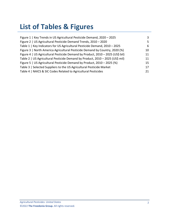# **List of Tables & Figures**

| Figure 1   Key Trends in US Agricultural Pesticide Demand, 2020 - 2025         | 3  |
|--------------------------------------------------------------------------------|----|
| Figure 2   US Agricultural Pesticide Demand Trends, 2010 - 2020                | 5. |
| Table 1   Key Indicators for US Agricultural Pesticide Demand, 2010 - 2025     | 6. |
| Figure 3   North America Agricultural Pesticide Demand by Country, 2020 (%)    | 10 |
| Figure 4   US Agricultural Pesticide Demand by Product, 2010 - 2025 (US\$ bil) | 11 |
| Table 2   US Agricultural Pesticide Demand by Product, 2010 - 2025 (US\$ mil)  | 11 |
| Figure 5   US Agricultural Pesticide Demand by Product, 2010 - 2025 (%)        | 15 |
| Table 3   Selected Suppliers to the US Agricultural Pesticide Market           | 17 |
| Table 4   NAICS & SIC Codes Related to Agricultural Pesticides                 | 21 |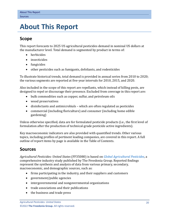## <span id="page-3-0"></span>**5. About This Report**

## <span id="page-3-1"></span>**Scope**

This report forecasts to 2025 US agricultural pesticides demand in nominal US dollars at the manufacturer level. Total demand is segmented by product in terms of:

- herbicides
- insecticides
- fungicides
- other pesticides such as fumigants, defoliants, and rodenticides

To illustrate historical trends, total demand is provided in annual series from 2010 to 2020; the various segments are reported at five-year intervals for 2010, 2015, and 2020.

Also included in the scope of this report are repellants, which instead of killing pests, are designed to repel or discourage their presence. Excluded from coverage in this report are:

- bulk commodities such as copper, sulfur, and petroleum oils
- wood preservatives
- disinfectants and antimicrobials which are often regulated as pesticides
- commercial (including floriculture) and consumer (including home edible gardening)

Unless otherwise specified, data are for formulated pesticide products (i.e., the first level of formulation after the production of technical-grade pesticide active ingredients).

Key macroeconomic indicators are also provided with quantified trends. Other various topics, including profiles of pertinent leading companies, are covered in this report. A full outline of report items by page is available in the Table of Contents.

## <span id="page-3-2"></span>**Sources**

*Agricultural Pesticides: United States* (FF35080) is based on *[Global Agricultural Pesticides,](http://www.freedoniagroup.com/DocumentDetails.aspx?ReferrerId=FL-FOCUS&studyid=4243)* a comprehensive industry study published by The Freedonia Group. Reported findings represent the synthesis and analysis of data from various primary, secondary, macroeconomic, and demographic sources, such as:

- firms participating in the industry, and their suppliers and customers
- government/public agencies
- intergovernmental and nongovernmental organizations
- trade associations and their publications
- the business and trade press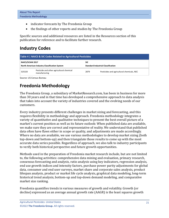- indicator forecasts by The Freedonia Group
- the findings of other reports and studies by The Freedonia Group

Specific sources and additional resources are listed in the Resources section of this publication for reference and to facilitate further research.

## <span id="page-4-0"></span>**Industry Codes**

<span id="page-4-2"></span>

| Table 4   NAICS & SIC Codes Related to Agricultural Pesticides    |                                                            |                                                         |                                            |  |  |  |  |
|-------------------------------------------------------------------|------------------------------------------------------------|---------------------------------------------------------|--------------------------------------------|--|--|--|--|
| NAICS/SCIAN 2017<br>North American Industry Classification System |                                                            | <b>SIC</b><br><b>Standard Industrial Classification</b> |                                            |  |  |  |  |
| 325320                                                            | Pesticide and other agricultural chemical<br>manufacturing | 2879                                                    | Pesticides and agricultural chemicals, NEC |  |  |  |  |

Source: US Census Bureau

## <span id="page-4-1"></span>**Freedonia Methodology**

The Freedonia Group, a subsidiary of MarketResearch.com, has been in business for more than 30 years and in that time has developed a comprehensive approach to data analysis that takes into account the variety of industries covered and the evolving needs of our customers.

Every industry presents different challenges in market sizing and forecasting, and this requires flexibility in methodology and approach. Freedonia methodology integrates a variety of quantitative and qualitative techniques to present the best overall picture of a market's current position as well as its future outlook: When published data are available, we make sure they are correct and representative of reality. We understand that published data often have flaws either in scope or quality, and adjustments are made accordingly. Where no data are available, we use various methodologies to develop market sizing (both top-down and bottom-up) and then triangulate those results to come up with the most accurate data series possible. Regardless of approach, we also talk to industry participants to verify both historical perspective and future growth opportunities.

Methods used in the preparation of Freedonia market research include, but are not limited to, the following activities: comprehensive data mining and evaluation, primary research, consensus forecasting and analysis, ratio analysis using key indicators, regression analysis, end use growth indices and intensity factors, purchase power parity adjustments for global data, consumer and end user surveys, market share and corporate sales analysis, product lifespan analysis, product or market life cycle analysis, graphical data modeling, long-term historical trend analysis, bottom-up and top-down demand modeling, and comparative market size ranking.

Freedonia quantifies trends in various measures of growth and volatility. Growth (or decline) expressed as an average annual growth rate (AAGR) is the least squares growth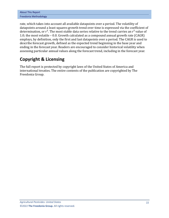| <b>About This Report</b> |  |  |  |  |
|--------------------------|--|--|--|--|
| Freedonia Methodology    |  |  |  |  |

rate, which takes into account all available datapoints over a period. The volatility of datapoints around a least squares growth trend over time is expressed via the coefficient of determination, or  $r^2$ . The most stable data series relative to the trend carries an  $r^2$  value of 1.0; the most volatile – 0.0. Growth calculated as a compound annual growth rate (CAGR) employs, by definition, only the first and last datapoints over a period. The CAGR is used to describe forecast growth, defined as the expected trend beginning in the base year and ending in the forecast year. Readers are encouraged to consider historical volatility when assessing particular annual values along the forecast trend, including in the forecast year.

## **Copyright & Licensing**

The full report is protected by copyright laws of the United States of America and international treaties. The entire contents of the publication are copyrighted by The Freedonia Group.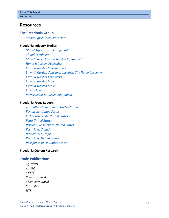## <span id="page-6-0"></span>**Resources**

#### **The Freedonia Group**

*[Global Agricultural Pesticides](http://www.freedoniagroup.com/DocumentDetails.aspx?ReferrerId=FL-FOCUS&studyid=4243)*

#### **[Freedonia Industry Studies](http://www.freedoniagroup.com/Home.aspx?ReferrerId=FL-Focus)**

*[Global Agricultural Equipment](http://www.freedoniagroup.com/DocumentDetails.aspx?ReferrerId=FL-FOCUS&studyid=3872) [Global Fertilizers](https://www.freedoniagroup.com/DocumentDetails.aspx?ReferrerId=FL-FOCUS&StudyId=3657) [Global Power Lawn & Garden Equipment](https://www.freedoniagroup.com/DocumentDetails.aspx?ReferrerId=FL-FOCUS&StudyId=4211) [Home & Garden Pesticides](https://www.freedoniagroup.com/DocumentDetails.aspx?ReferrerId=FL-FOCUS&StudyId=3832) [Lawn & Garden Consumables](https://www.freedoniagroup.com/DocumentDetails.aspx?ReferrerId=FL-FOCUS&StudyId=3849) [Lawn & Garden Consumer Insights: The Home Gardener](https://www.freedoniagroup.com/DocumentDetails.aspx?ReferrerId=FL-FOCUS&StudyId=3883) [Lawn & Garden Fertilizers](https://www.freedoniagroup.com/DocumentDetails.aspx?ReferrerId=FL-FOCUS&StudyId=4037) [Lawn & Garden Mulch](https://www.freedoniagroup.com/DocumentDetails.aspx?ReferrerId=FL-FOCUS&StudyId=4041) [Lawn & Garden Seeds](https://www.freedoniagroup.com/DocumentDetails.aspx?ReferrerId=FL-FOCUS&StudyId=4039) [Lawn Mowers](https://www.freedoniagroup.com/DocumentDetails.aspx?ReferrerId=FL-FOCUS&StudyId=4067) [Power Lawn & Garden Equipment](https://www.freedoniagroup.com/DocumentDetails.aspx?ReferrerId=FL-FOCUS&StudyId=3844)*

#### **[Freedonia Focus Reports](https://www.freedoniafocusreports.com/redirect.asp?progid=89534&url=/)**

*[Agricultural Equipment: United States](https://www.freedoniafocusreports.com/Agricultural-Equipment-United-States-FF75037/?progid=89534) [Fertilizers: United States](https://www.freedoniafocusreports.com/Fertilizers-United-States-FF35077/?progid=89534) [Field Crop Seeds: United States](https://www.freedoniafocusreports.com/Field-Crop-Seeds-United-States-FF40031/?progid=89534) [Peat: United States](https://www.freedoniafocusreports.com/Peat-United-States-FF65043/?progid=89534) [Perlite & Vermiculite: United States](https://www.freedoniafocusreports.com/Perlite-Vermiculite-United-States-FF65049/?progid=89534) [Pesticides: Canada](https://www.freedoniafocusreports.com/Pesticides-Canada-FA35048/?progid=89534) [Pesticides: Europe](https://www.freedoniafocusreports.com/Pesticides-Europe-FE35048/?progid=89534) [Pesticides: United States](https://www.freedoniafocusreports.com/esticides-United-States-FF35048/?progid=89534) [Phosphate Rock: United States](https://www.freedoniafocusreports.com/Phosphate-Rock-United-States-FF65020/?progid=89534)*

#### **[Freedonia Custom Research](http://www.freedoniagroup.com/CustomResearch.aspx?ReferrerId=FL-Focus)**

#### **Trade Publications**

*Ag-News AgWeb C&EN Chemical Week Chemistry World CropLife ICIS*